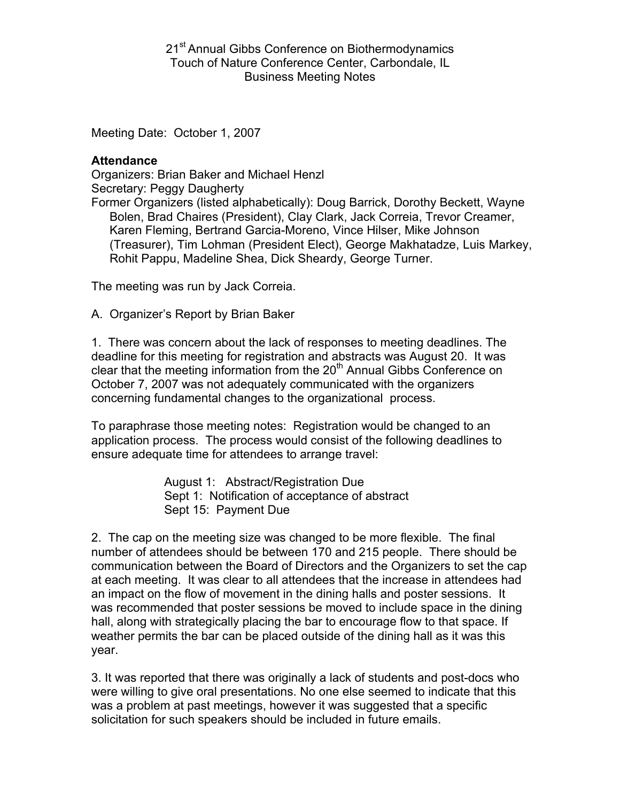21<sup>st</sup> Annual Gibbs Conference on Biothermodynamics Touch of Nature Conference Center, Carbondale, IL Business Meeting Notes

Meeting Date: October 1, 2007

## **Attendance**

Organizers: Brian Baker and Michael Henzl Secretary: Peggy Daugherty Former Organizers (listed alphabetically): Doug Barrick, Dorothy Beckett, Wayne Bolen, Brad Chaires (President), Clay Clark, Jack Correia, Trevor Creamer, Karen Fleming, Bertrand Garcia-Moreno, Vince Hilser, Mike Johnson

(Treasurer), Tim Lohman (President Elect), George Makhatadze, Luis Markey, Rohit Pappu, Madeline Shea, Dick Sheardy, George Turner.

The meeting was run by Jack Correia.

A. Organizer's Report by Brian Baker

1. There was concern about the lack of responses to meeting deadlines. The deadline for this meeting for registration and abstracts was August 20. It was clear that the meeting information from the  $20<sup>th</sup>$  Annual Gibbs Conference on October 7, 2007 was not adequately communicated with the organizers concerning fundamental changes to the organizational process.

To paraphrase those meeting notes: Registration would be changed to an application process. The process would consist of the following deadlines to ensure adequate time for attendees to arrange travel:

> August 1: Abstract/Registration Due Sept 1: Notification of acceptance of abstract Sept 15: Payment Due

2. The cap on the meeting size was changed to be more flexible. The final number of attendees should be between 170 and 215 people. There should be communication between the Board of Directors and the Organizers to set the cap at each meeting. It was clear to all attendees that the increase in attendees had an impact on the flow of movement in the dining halls and poster sessions. It was recommended that poster sessions be moved to include space in the dining hall, along with strategically placing the bar to encourage flow to that space. If weather permits the bar can be placed outside of the dining hall as it was this year.

3. It was reported that there was originally a lack of students and post-docs who were willing to give oral presentations. No one else seemed to indicate that this was a problem at past meetings, however it was suggested that a specific solicitation for such speakers should be included in future emails.